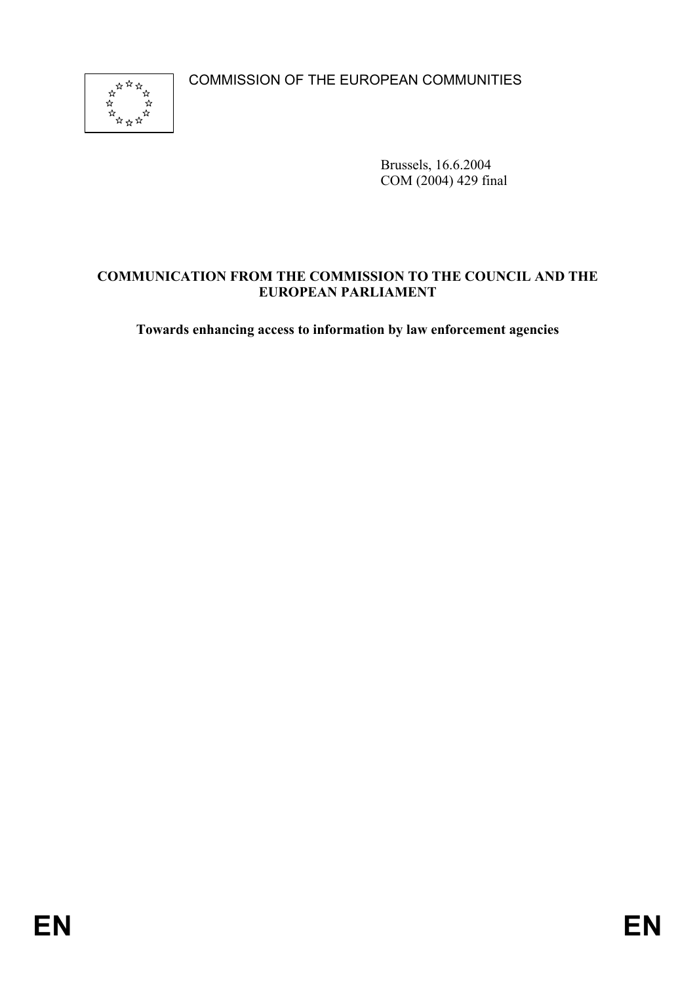COMMISSION OF THE EUROPEAN COMMUNITIES



Brussels, 16.6.2004 COM (2004) 429 final

### **COMMUNICATION FROM THE COMMISSION TO THE COUNCIL AND THE EUROPEAN PARLIAMENT**

**Towards enhancing access to information by law enforcement agencies**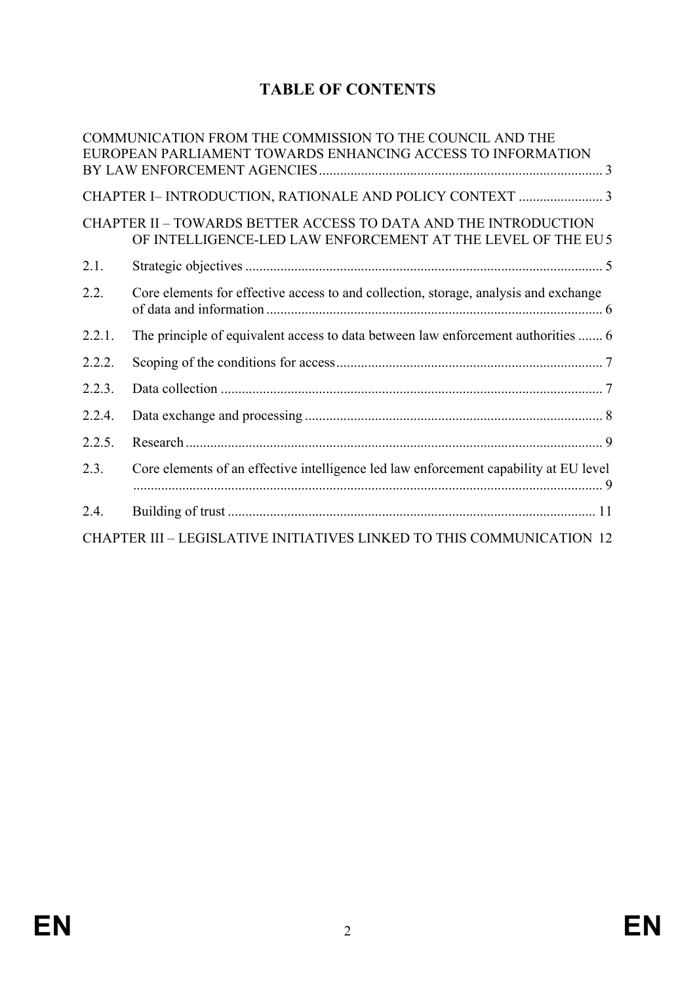# **TABLE OF CONTENTS**

|        | COMMUNICATION FROM THE COMMISSION TO THE COUNCIL AND THE<br>EUROPEAN PARLIAMENT TOWARDS ENHANCING ACCESS TO INFORMATION        |  |
|--------|--------------------------------------------------------------------------------------------------------------------------------|--|
|        |                                                                                                                                |  |
|        |                                                                                                                                |  |
|        | CHAPTER II - TOWARDS BETTER ACCESS TO DATA AND THE INTRODUCTION<br>OF INTELLIGENCE-LED LAW ENFORCEMENT AT THE LEVEL OF THE EU5 |  |
| 2.1.   |                                                                                                                                |  |
| 2.2.   | Core elements for effective access to and collection, storage, analysis and exchange                                           |  |
| 2.2.1. | The principle of equivalent access to data between law enforcement authorities  6                                              |  |
| 2.2.2. |                                                                                                                                |  |
| 2.2.3. |                                                                                                                                |  |
| 2.2.4. |                                                                                                                                |  |
| 2.2.5. |                                                                                                                                |  |
| 2.3.   | Core elements of an effective intelligence led law enforcement capability at EU level                                          |  |
| 2.4.   |                                                                                                                                |  |
|        | CHAPTER III - LEGISLATIVE INITIATIVES LINKED TO THIS COMMUNICATION 12                                                          |  |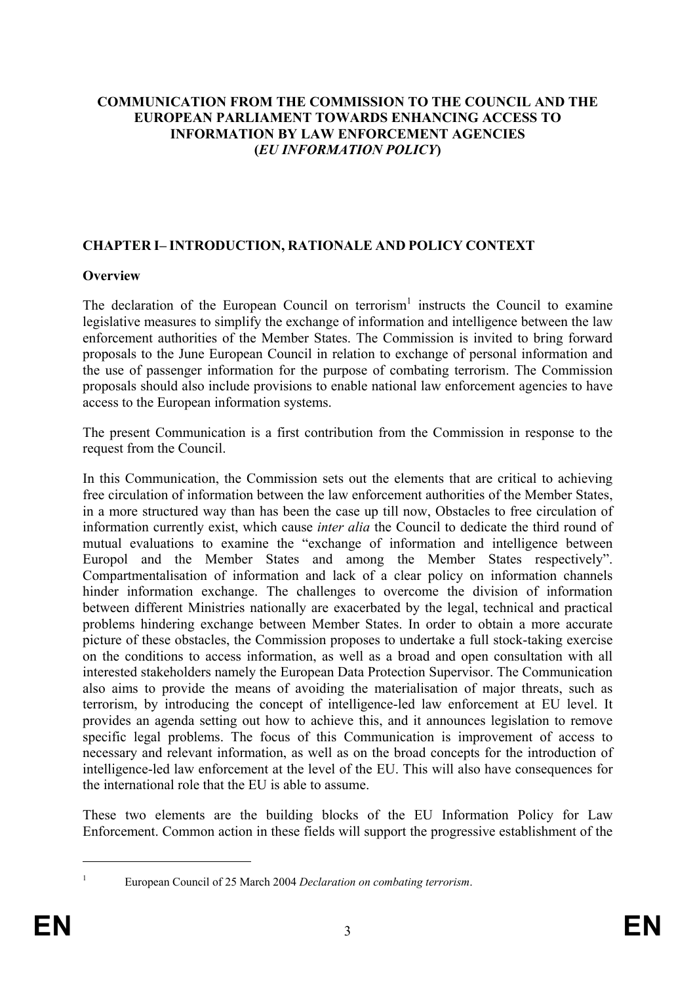### **COMMUNICATION FROM THE COMMISSION TO THE COUNCIL AND THE EUROPEAN PARLIAMENT TOWARDS ENHANCING ACCESS TO INFORMATION BY LAW ENFORCEMENT AGENCIES (***EU INFORMATION POLICY***)**

### **CHAPTER I– INTRODUCTION, RATIONALE AND POLICY CONTEXT**

### **Overview**

The declaration of the European Council on terrorism<sup>1</sup> instructs the Council to examine legislative measures to simplify the exchange of information and intelligence between the law enforcement authorities of the Member States. The Commission is invited to bring forward proposals to the June European Council in relation to exchange of personal information and the use of passenger information for the purpose of combating terrorism. The Commission proposals should also include provisions to enable national law enforcement agencies to have access to the European information systems.

The present Communication is a first contribution from the Commission in response to the request from the Council.

In this Communication, the Commission sets out the elements that are critical to achieving free circulation of information between the law enforcement authorities of the Member States, in a more structured way than has been the case up till now, Obstacles to free circulation of information currently exist, which cause *inter alia* the Council to dedicate the third round of mutual evaluations to examine the "exchange of information and intelligence between Europol and the Member States and among the Member States respectively". Compartmentalisation of information and lack of a clear policy on information channels hinder information exchange. The challenges to overcome the division of information between different Ministries nationally are exacerbated by the legal, technical and practical problems hindering exchange between Member States. In order to obtain a more accurate picture of these obstacles, the Commission proposes to undertake a full stock-taking exercise on the conditions to access information, as well as a broad and open consultation with all interested stakeholders namely the European Data Protection Supervisor. The Communication also aims to provide the means of avoiding the materialisation of major threats, such as terrorism, by introducing the concept of intelligence-led law enforcement at EU level. It provides an agenda setting out how to achieve this, and it announces legislation to remove specific legal problems. The focus of this Communication is improvement of access to necessary and relevant information, as well as on the broad concepts for the introduction of intelligence-led law enforcement at the level of the EU. This will also have consequences for the international role that the EU is able to assume.

These two elements are the building blocks of the EU Information Policy for Law Enforcement. Common action in these fields will support the progressive establishment of the

European Council of 25 March 2004 *Declaration on combating terrorism*.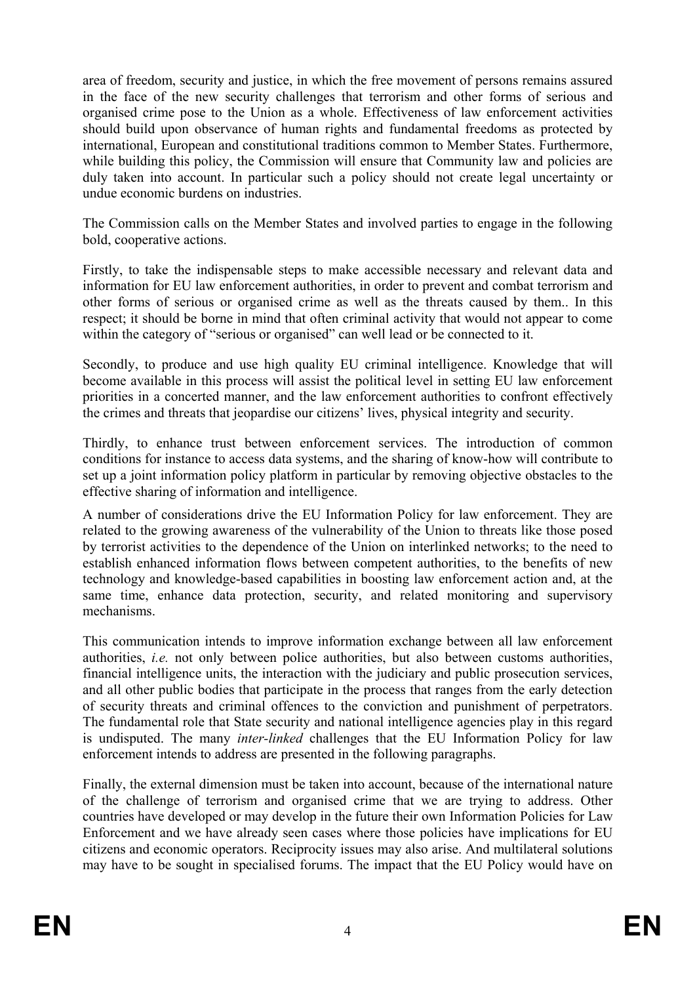area of freedom, security and justice, in which the free movement of persons remains assured in the face of the new security challenges that terrorism and other forms of serious and organised crime pose to the Union as a whole. Effectiveness of law enforcement activities should build upon observance of human rights and fundamental freedoms as protected by international, European and constitutional traditions common to Member States. Furthermore, while building this policy, the Commission will ensure that Community law and policies are duly taken into account. In particular such a policy should not create legal uncertainty or undue economic burdens on industries.

The Commission calls on the Member States and involved parties to engage in the following bold, cooperative actions.

Firstly, to take the indispensable steps to make accessible necessary and relevant data and information for EU law enforcement authorities, in order to prevent and combat terrorism and other forms of serious or organised crime as well as the threats caused by them.. In this respect; it should be borne in mind that often criminal activity that would not appear to come within the category of "serious or organised" can well lead or be connected to it.

Secondly, to produce and use high quality EU criminal intelligence. Knowledge that will become available in this process will assist the political level in setting EU law enforcement priorities in a concerted manner, and the law enforcement authorities to confront effectively the crimes and threats that jeopardise our citizens' lives, physical integrity and security.

Thirdly, to enhance trust between enforcement services. The introduction of common conditions for instance to access data systems, and the sharing of know-how will contribute to set up a joint information policy platform in particular by removing objective obstacles to the effective sharing of information and intelligence.

A number of considerations drive the EU Information Policy for law enforcement. They are related to the growing awareness of the vulnerability of the Union to threats like those posed by terrorist activities to the dependence of the Union on interlinked networks; to the need to establish enhanced information flows between competent authorities, to the benefits of new technology and knowledge-based capabilities in boosting law enforcement action and, at the same time, enhance data protection, security, and related monitoring and supervisory mechanisms.

This communication intends to improve information exchange between all law enforcement authorities, *i.e.* not only between police authorities, but also between customs authorities, financial intelligence units, the interaction with the judiciary and public prosecution services, and all other public bodies that participate in the process that ranges from the early detection of security threats and criminal offences to the conviction and punishment of perpetrators. The fundamental role that State security and national intelligence agencies play in this regard is undisputed. The many *inter-linked* challenges that the EU Information Policy for law enforcement intends to address are presented in the following paragraphs.

Finally, the external dimension must be taken into account, because of the international nature of the challenge of terrorism and organised crime that we are trying to address. Other countries have developed or may develop in the future their own Information Policies for Law Enforcement and we have already seen cases where those policies have implications for EU citizens and economic operators. Reciprocity issues may also arise. And multilateral solutions may have to be sought in specialised forums. The impact that the EU Policy would have on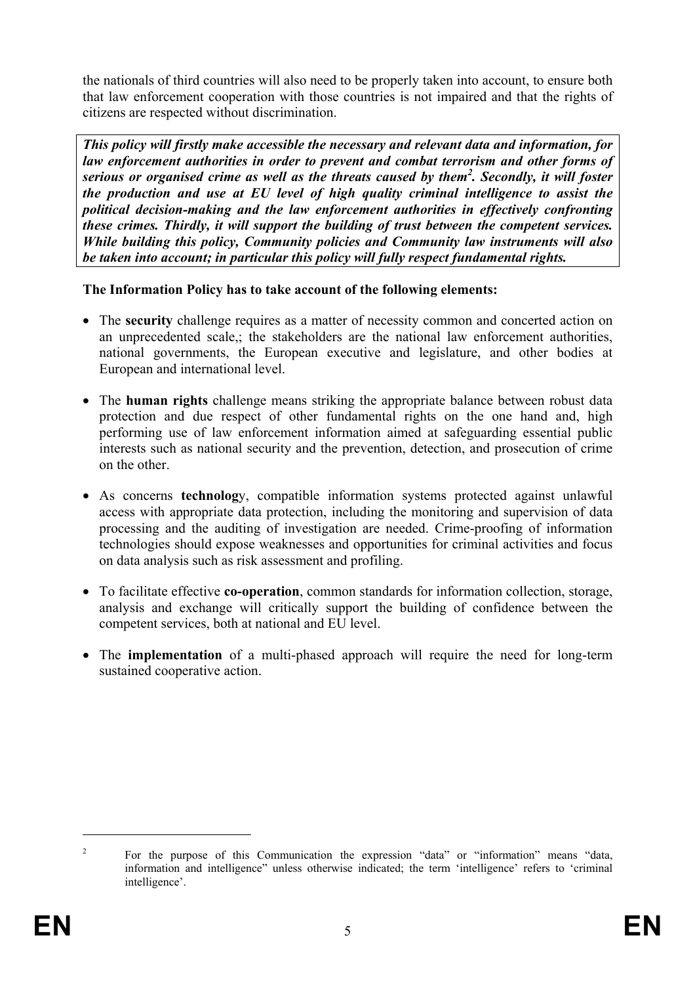the nationals of third countries will also need to be properly taken into account, to ensure both that law enforcement cooperation with those countries is not impaired and that the rights of citizens are respected without discrimination.

*This policy will firstly make accessible the necessary and relevant data and information, for law enforcement authorities in order to prevent and combat terrorism and other forms of serious or organised crime as well as the threats caused by them2 . Secondly, it will foster the production and use at EU level of high quality criminal intelligence to assist the political decision-making and the law enforcement authorities in effectively confronting these crimes. Thirdly, it will support the building of trust between the competent services. While building this policy, Community policies and Community law instruments will also be taken into account; in particular this policy will fully respect fundamental rights.* 

### **The Information Policy has to take account of the following elements:**

- The **security** challenge requires as a matter of necessity common and concerted action on an unprecedented scale,; the stakeholders are the national law enforcement authorities, national governments, the European executive and legislature, and other bodies at European and international level.
- The **human rights** challenge means striking the appropriate balance between robust data protection and due respect of other fundamental rights on the one hand and, high performing use of law enforcement information aimed at safeguarding essential public interests such as national security and the prevention, detection, and prosecution of crime on the other.
- As concerns **technolog**y, compatible information systems protected against unlawful access with appropriate data protection, including the monitoring and supervision of data processing and the auditing of investigation are needed. Crime-proofing of information technologies should expose weaknesses and opportunities for criminal activities and focus on data analysis such as risk assessment and profiling.
- To facilitate effective **co-operation**, common standards for information collection, storage, analysis and exchange will critically support the building of confidence between the competent services, both at national and EU level.
- The **implementation** of a multi-phased approach will require the need for long-term sustained cooperative action.

<u>.</u>

<sup>2</sup> For the purpose of this Communication the expression "data" or "information" means "data, information and intelligence" unless otherwise indicated; the term 'intelligence' refers to 'criminal intelligence'.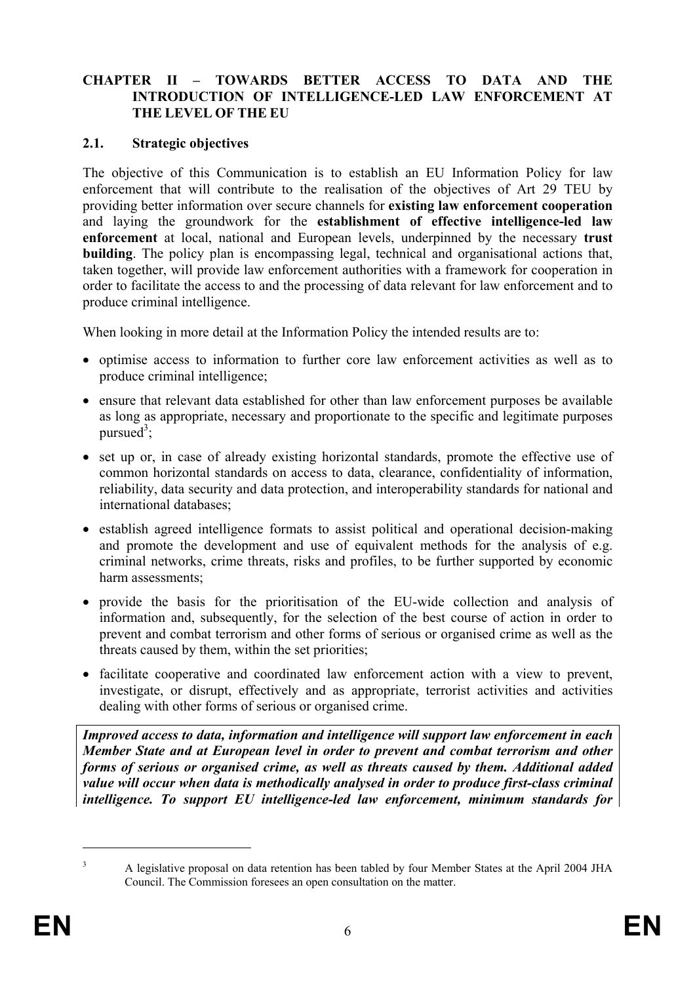#### **CHAPTER II – TOWARDS BETTER ACCESS TO DATA AND THE INTRODUCTION OF INTELLIGENCE-LED LAW ENFORCEMENT AT THE LEVEL OF THE EU**

#### **2.1. Strategic objectives**

The objective of this Communication is to establish an EU Information Policy for law enforcement that will contribute to the realisation of the objectives of Art 29 TEU by providing better information over secure channels for **existing law enforcement cooperation**  and laying the groundwork for the **establishment of effective intelligence-led law enforcement** at local, national and European levels, underpinned by the necessary **trust building**. The policy plan is encompassing legal, technical and organisational actions that, taken together, will provide law enforcement authorities with a framework for cooperation in order to facilitate the access to and the processing of data relevant for law enforcement and to produce criminal intelligence.

When looking in more detail at the Information Policy the intended results are to:

- optimise access to information to further core law enforcement activities as well as to produce criminal intelligence;
- ensure that relevant data established for other than law enforcement purposes be available as long as appropriate, necessary and proportionate to the specific and legitimate purposes pursued<sup>3</sup>;
- set up or, in case of already existing horizontal standards, promote the effective use of common horizontal standards on access to data, clearance, confidentiality of information, reliability, data security and data protection, and interoperability standards for national and international databases;
- establish agreed intelligence formats to assist political and operational decision-making and promote the development and use of equivalent methods for the analysis of e.g. criminal networks, crime threats, risks and profiles, to be further supported by economic harm assessments:
- provide the basis for the prioritisation of the EU-wide collection and analysis of information and, subsequently, for the selection of the best course of action in order to prevent and combat terrorism and other forms of serious or organised crime as well as the threats caused by them, within the set priorities;
- facilitate cooperative and coordinated law enforcement action with a view to prevent, investigate, or disrupt, effectively and as appropriate, terrorist activities and activities dealing with other forms of serious or organised crime.

*Improved access to data, information and intelligence will support law enforcement in each Member State and at European level in order to prevent and combat terrorism and other forms of serious or organised crime, as well as threats caused by them. Additional added value will occur when data is methodically analysed in order to produce first-class criminal intelligence. To support EU intelligence-led law enforcement, minimum standards for* 

A legislative proposal on data retention has been tabled by four Member States at the April 2004 JHA Council. The Commission foresees an open consultation on the matter.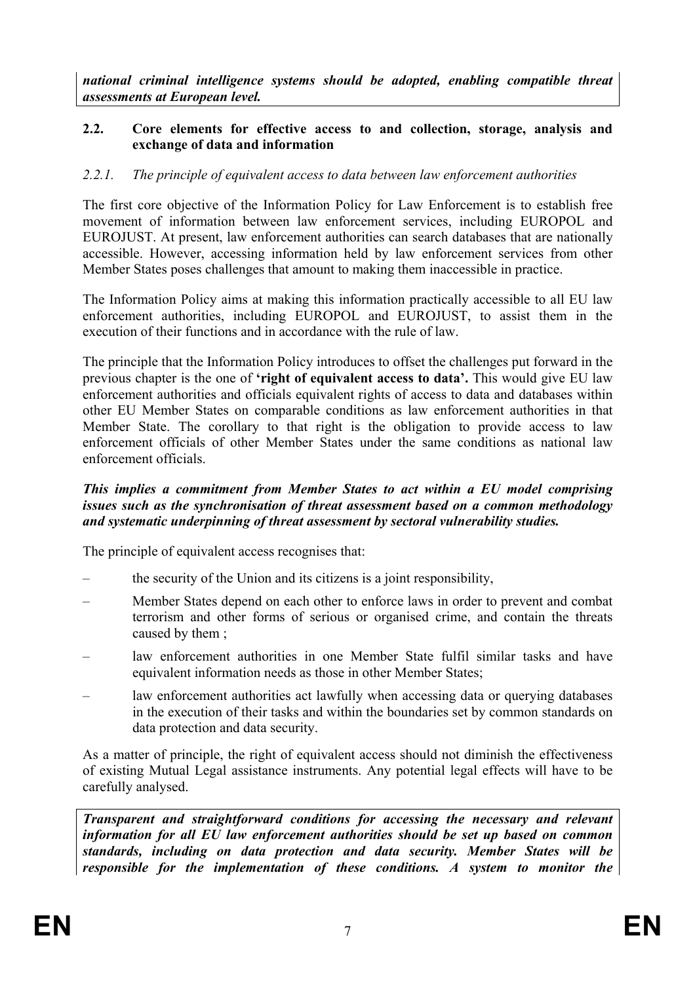*national criminal intelligence systems should be adopted, enabling compatible threat assessments at European level.* 

### **2.2. Core elements for effective access to and collection, storage, analysis and exchange of data and information**

### *2.2.1. The principle of equivalent access to data between law enforcement authorities*

The first core objective of the Information Policy for Law Enforcement is to establish free movement of information between law enforcement services, including EUROPOL and EUROJUST. At present, law enforcement authorities can search databases that are nationally accessible. However, accessing information held by law enforcement services from other Member States poses challenges that amount to making them inaccessible in practice.

The Information Policy aims at making this information practically accessible to all EU law enforcement authorities, including EUROPOL and EUROJUST, to assist them in the execution of their functions and in accordance with the rule of law.

The principle that the Information Policy introduces to offset the challenges put forward in the previous chapter is the one of **'right of equivalent access to data'.** This would give EU law enforcement authorities and officials equivalent rights of access to data and databases within other EU Member States on comparable conditions as law enforcement authorities in that Member State. The corollary to that right is the obligation to provide access to law enforcement officials of other Member States under the same conditions as national law enforcement officials.

#### *This implies a commitment from Member States to act within a EU model comprising issues such as the synchronisation of threat assessment based on a common methodology and systematic underpinning of threat assessment by sectoral vulnerability studies.*

The principle of equivalent access recognises that:

- the security of the Union and its citizens is a joint responsibility,
- Member States depend on each other to enforce laws in order to prevent and combat terrorism and other forms of serious or organised crime, and contain the threats caused by them ;
- law enforcement authorities in one Member State fulfil similar tasks and have equivalent information needs as those in other Member States:
- law enforcement authorities act lawfully when accessing data or querying databases in the execution of their tasks and within the boundaries set by common standards on data protection and data security.

As a matter of principle, the right of equivalent access should not diminish the effectiveness of existing Mutual Legal assistance instruments. Any potential legal effects will have to be carefully analysed.

*Transparent and straightforward conditions for accessing the necessary and relevant information for all EU law enforcement authorities should be set up based on common standards, including on data protection and data security. Member States will be responsible for the implementation of these conditions. A system to monitor the*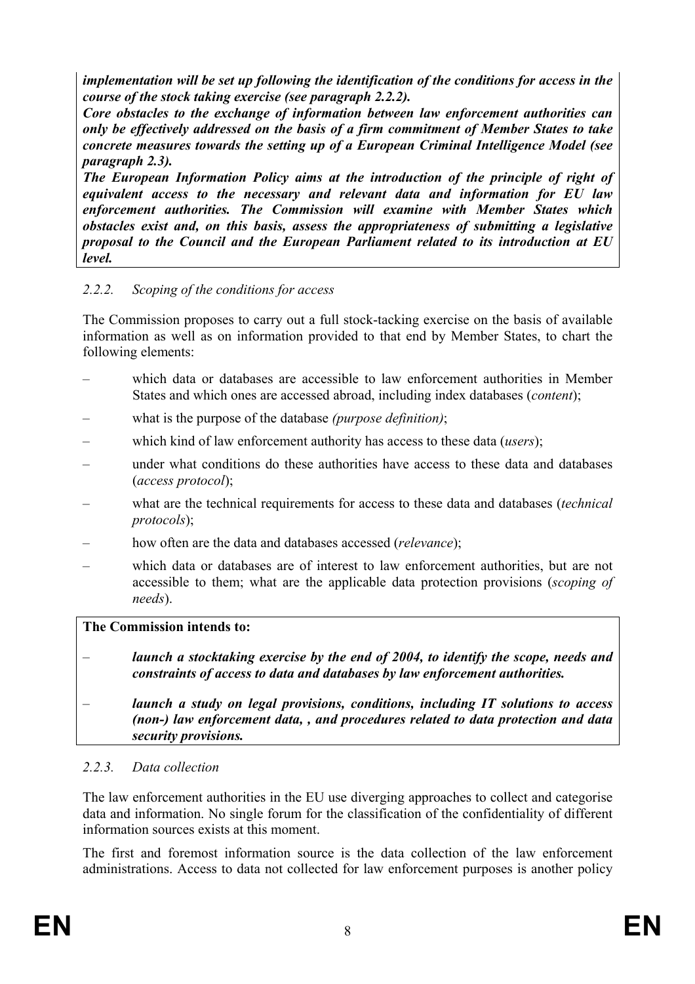*implementation will be set up following the identification of the conditions for access in the course of the stock taking exercise (see paragraph 2.2.2).* 

*Core obstacles to the exchange of information between law enforcement authorities can only be effectively addressed on the basis of a firm commitment of Member States to take concrete measures towards the setting up of a European Criminal Intelligence Model (see paragraph 2.3).* 

*The European Information Policy aims at the introduction of the principle of right of equivalent access to the necessary and relevant data and information for EU law enforcement authorities. The Commission will examine with Member States which obstacles exist and, on this basis, assess the appropriateness of submitting a legislative proposal to the Council and the European Parliament related to its introduction at EU level.* 

# *2.2.2. Scoping of the conditions for access*

The Commission proposes to carry out a full stock-tacking exercise on the basis of available information as well as on information provided to that end by Member States, to chart the following elements:

- which data or databases are accessible to law enforcement authorities in Member States and which ones are accessed abroad, including index databases (*content*);
- what is the purpose of the database *(purpose definition)*;
- which kind of law enforcement authority has access to these data (*users*);
- under what conditions do these authorities have access to these data and databases (*access protocol*);
- what are the technical requirements for access to these data and databases (*technical protocols*);
- how often are the data and databases accessed (*relevance*);
- which data or databases are of interest to law enforcement authorities, but are not accessible to them; what are the applicable data protection provisions (*scoping of needs*).

# **The Commission intends to:**

- launch a stocktaking exercise by the end of 2004, to identify the scope, needs and *constraints of access to data and databases by law enforcement authorities.*
- *launch a study on legal provisions, conditions, including IT solutions to access (non-) law enforcement data, , and procedures related to data protection and data security provisions.*

# *2.2.3. Data collection*

The law enforcement authorities in the EU use diverging approaches to collect and categorise data and information. No single forum for the classification of the confidentiality of different information sources exists at this moment.

The first and foremost information source is the data collection of the law enforcement administrations. Access to data not collected for law enforcement purposes is another policy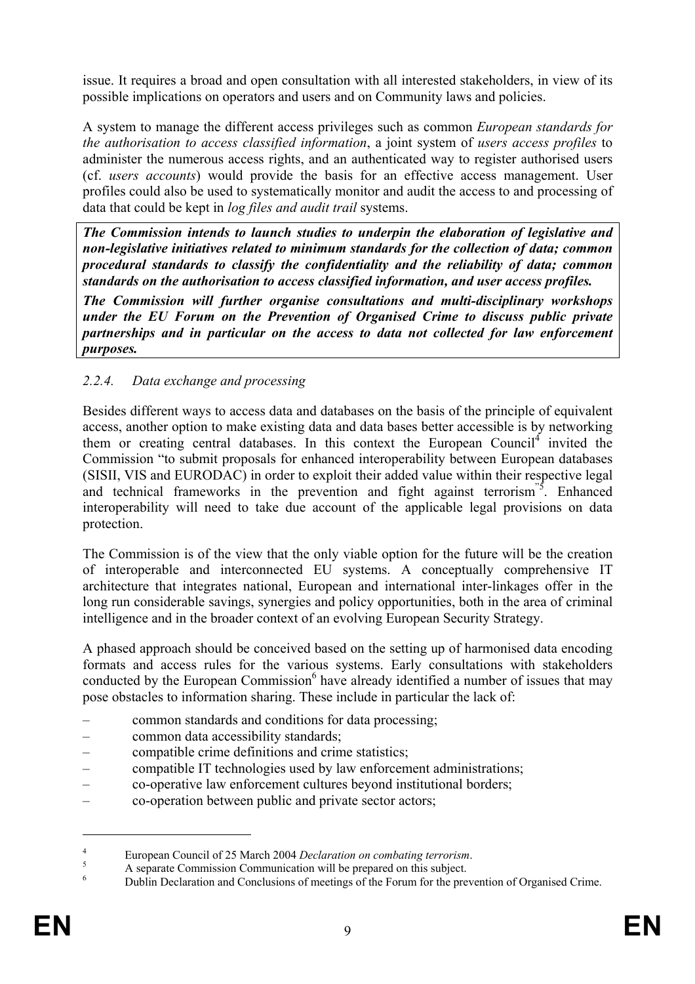issue. It requires a broad and open consultation with all interested stakeholders, in view of its possible implications on operators and users and on Community laws and policies.

A system to manage the different access privileges such as common *European standards for the authorisation to access classified information*, a joint system of *users access profiles* to administer the numerous access rights, and an authenticated way to register authorised users (cf. *users accounts*) would provide the basis for an effective access management. User profiles could also be used to systematically monitor and audit the access to and processing of data that could be kept in *log files and audit trail* systems.

*The Commission intends to launch studies to underpin the elaboration of legislative and non-legislative initiatives related to minimum standards for the collection of data; common procedural standards to classify the confidentiality and the reliability of data; common standards on the authorisation to access classified information, and user access profiles.* 

*The Commission will further organise consultations and multi-disciplinary workshops under the EU Forum on the Prevention of Organised Crime to discuss public private partnerships and in particular on the access to data not collected for law enforcement purposes.* 

# *2.2.4. Data exchange and processing*

Besides different ways to access data and databases on the basis of the principle of equivalent access, another option to make existing data and data bases better accessible is by networking them or creating central databases. In this context the European Council<sup>4</sup> invited the Commission "to submit proposals for enhanced interoperability between European databases (SISII, VIS and EURODAC) in order to exploit their added value within their respective legal and technical frameworks in the prevention and fight against terrorism<sup>"5</sup>. Enhanced interoperability will need to take due account of the applicable legal provisions on data protection.

The Commission is of the view that the only viable option for the future will be the creation of interoperable and interconnected EU systems. A conceptually comprehensive IT architecture that integrates national, European and international inter-linkages offer in the long run considerable savings, synergies and policy opportunities, both in the area of criminal intelligence and in the broader context of an evolving European Security Strategy.

A phased approach should be conceived based on the setting up of harmonised data encoding formats and access rules for the various systems. Early consultations with stakeholders conducted by the European Commission<sup>6</sup> have already identified a number of issues that may pose obstacles to information sharing. These include in particular the lack of:

- common standards and conditions for data processing;
- common data accessibility standards;
- compatible crime definitions and crime statistics;
- compatible IT technologies used by law enforcement administrations;
- co-operative law enforcement cultures beyond institutional borders;
- co-operation between public and private sector actors;

<u>.</u>

<sup>4</sup> European Council of 25 March 2004 *Declaration on combating terrorism*.<br>
A consente Communication communication will be areneated on this subject.

A separate Commission Communication will be prepared on this subject.

<sup>6</sup> Dublin Declaration and Conclusions of meetings of the Forum for the prevention of Organised Crime.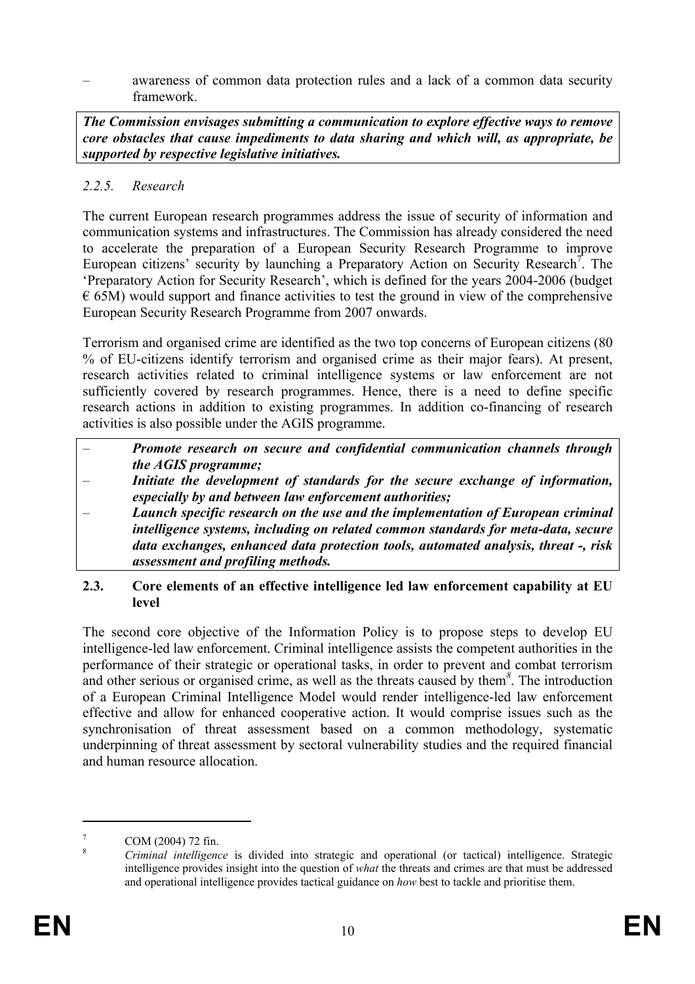– awareness of common data protection rules and a lack of a common data security framework.

*The Commission envisages submitting a communication to explore effective ways to remove core obstacles that cause impediments to data sharing and which will, as appropriate, be supported by respective legislative initiatives.* 

# *2.2.5. Research*

The current European research programmes address the issue of security of information and communication systems and infrastructures. The Commission has already considered the need to accelerate the preparation of a European Security Research Programme to improve European citizens' security by launching a Preparatory Action on Security Research<sup>7</sup>. The 'Preparatory Action for Security Research', which is defined for the years 2004-2006 (budget  $\epsilon$  65M) would support and finance activities to test the ground in view of the comprehensive European Security Research Programme from 2007 onwards.

Terrorism and organised crime are identified as the two top concerns of European citizens (80 % of EU-citizens identify terrorism and organised crime as their major fears). At present, research activities related to criminal intelligence systems or law enforcement are not sufficiently covered by research programmes. Hence, there is a need to define specific research actions in addition to existing programmes. In addition co-financing of research activities is also possible under the AGIS programme.

- *Promote research on secure and confidential communication channels through the AGIS programme;*
- *Initiate the development of standards for the secure exchange of information, especially by and between law enforcement authorities;*
- *Launch specific research on the use and the implementation of European criminal intelligence systems, including on related common standards for meta-data, secure data exchanges, enhanced data protection tools, automated analysis, threat -, risk assessment and profiling methods.*

#### **2.3. Core elements of an effective intelligence led law enforcement capability at EU level**

The second core objective of the Information Policy is to propose steps to develop EU intelligence-led law enforcement. Criminal intelligence assists the competent authorities in the performance of their strategic or operational tasks, in order to prevent and combat terrorism and other serious or organised crime, as well as the threats caused by them*<sup>8</sup>* . The introduction of a European Criminal Intelligence Model would render intelligence-led law enforcement effective and allow for enhanced cooperative action. It would comprise issues such as the synchronisation of threat assessment based on a common methodology, systematic underpinning of threat assessment by sectoral vulnerability studies and the required financial and human resource allocation.

<sup>7</sup> COM (2004) 72 fin.

<sup>8</sup> *Criminal intelligence* is divided into strategic and operational (or tactical) intelligence. Strategic intelligence provides insight into the question of *what* the threats and crimes are that must be addressed and operational intelligence provides tactical guidance on *how* best to tackle and prioritise them.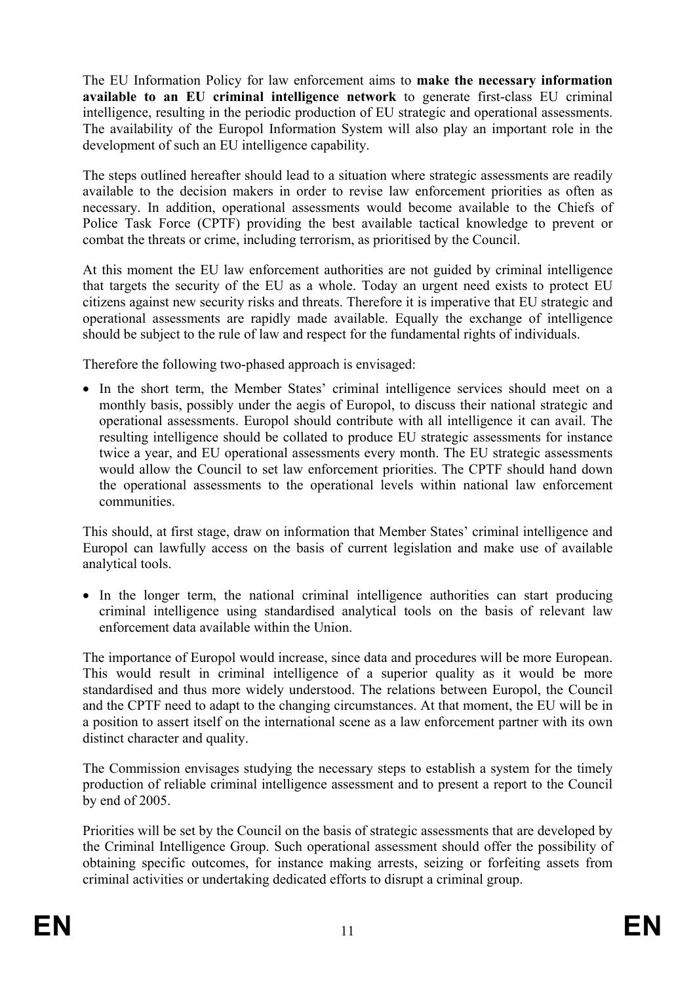The EU Information Policy for law enforcement aims to **make the necessary information available to an EU criminal intelligence network** to generate first-class EU criminal intelligence, resulting in the periodic production of EU strategic and operational assessments. The availability of the Europol Information System will also play an important role in the development of such an EU intelligence capability.

The steps outlined hereafter should lead to a situation where strategic assessments are readily available to the decision makers in order to revise law enforcement priorities as often as necessary. In addition, operational assessments would become available to the Chiefs of Police Task Force (CPTF) providing the best available tactical knowledge to prevent or combat the threats or crime, including terrorism, as prioritised by the Council.

At this moment the EU law enforcement authorities are not guided by criminal intelligence that targets the security of the EU as a whole. Today an urgent need exists to protect EU citizens against new security risks and threats. Therefore it is imperative that EU strategic and operational assessments are rapidly made available. Equally the exchange of intelligence should be subject to the rule of law and respect for the fundamental rights of individuals.

Therefore the following two-phased approach is envisaged:

• In the short term, the Member States' criminal intelligence services should meet on a monthly basis, possibly under the aegis of Europol, to discuss their national strategic and operational assessments. Europol should contribute with all intelligence it can avail. The resulting intelligence should be collated to produce EU strategic assessments for instance twice a year, and EU operational assessments every month. The EU strategic assessments would allow the Council to set law enforcement priorities. The CPTF should hand down the operational assessments to the operational levels within national law enforcement communities.

This should, at first stage, draw on information that Member States' criminal intelligence and Europol can lawfully access on the basis of current legislation and make use of available analytical tools.

• In the longer term, the national criminal intelligence authorities can start producing criminal intelligence using standardised analytical tools on the basis of relevant law enforcement data available within the Union.

The importance of Europol would increase, since data and procedures will be more European. This would result in criminal intelligence of a superior quality as it would be more standardised and thus more widely understood. The relations between Europol, the Council and the CPTF need to adapt to the changing circumstances. At that moment, the EU will be in a position to assert itself on the international scene as a law enforcement partner with its own distinct character and quality.

The Commission envisages studying the necessary steps to establish a system for the timely production of reliable criminal intelligence assessment and to present a report to the Council by end of 2005.

Priorities will be set by the Council on the basis of strategic assessments that are developed by the Criminal Intelligence Group. Such operational assessment should offer the possibility of obtaining specific outcomes, for instance making arrests, seizing or forfeiting assets from criminal activities or undertaking dedicated efforts to disrupt a criminal group.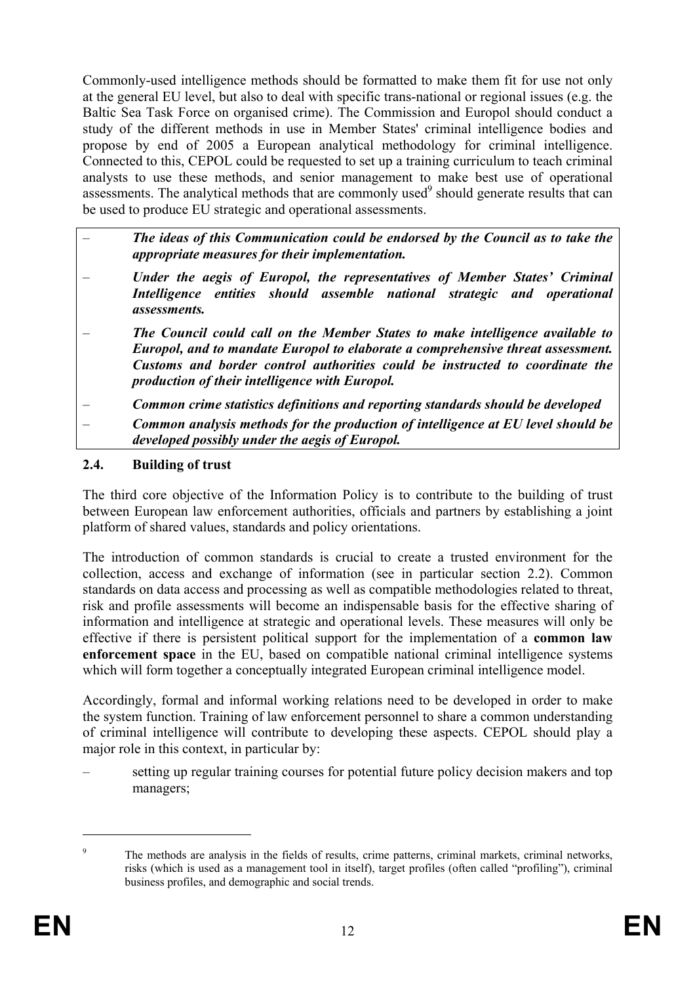Commonly-used intelligence methods should be formatted to make them fit for use not only at the general EU level, but also to deal with specific trans-national or regional issues (e.g. the Baltic Sea Task Force on organised crime). The Commission and Europol should conduct a study of the different methods in use in Member States' criminal intelligence bodies and propose by end of 2005 a European analytical methodology for criminal intelligence. Connected to this, CEPOL could be requested to set up a training curriculum to teach criminal analysts to use these methods, and senior management to make best use of operational assessments. The analytical methods that are commonly used $9$  should generate results that can be used to produce EU strategic and operational assessments.

- *The ideas of this Communication could be endorsed by the Council as to take the appropriate measures for their implementation.*
- *Under the aegis of Europol, the representatives of Member States' Criminal Intelligence entities should assemble national strategic and operational assessments.*
- *The Council could call on the Member States to make intelligence available to Europol, and to mandate Europol to elaborate a comprehensive threat assessment. Customs and border control authorities could be instructed to coordinate the production of their intelligence with Europol.*

– *Common crime statistics definitions and reporting standards should be developed* 

– *Common analysis methods for the production of intelligence at EU level should be developed possibly under the aegis of Europol.*

## **2.4. Building of trust**

The third core objective of the Information Policy is to contribute to the building of trust between European law enforcement authorities, officials and partners by establishing a joint platform of shared values, standards and policy orientations.

The introduction of common standards is crucial to create a trusted environment for the collection, access and exchange of information (see in particular section 2.2). Common standards on data access and processing as well as compatible methodologies related to threat, risk and profile assessments will become an indispensable basis for the effective sharing of information and intelligence at strategic and operational levels. These measures will only be effective if there is persistent political support for the implementation of a **common law enforcement space** in the EU, based on compatible national criminal intelligence systems which will form together a conceptually integrated European criminal intelligence model.

Accordingly, formal and informal working relations need to be developed in order to make the system function. Training of law enforcement personnel to share a common understanding of criminal intelligence will contribute to developing these aspects. CEPOL should play a major role in this context, in particular by:

– setting up regular training courses for potential future policy decision makers and top managers;

<u>.</u>

<sup>9</sup> The methods are analysis in the fields of results, crime patterns, criminal markets, criminal networks, risks (which is used as a management tool in itself), target profiles (often called "profiling"), criminal business profiles, and demographic and social trends.